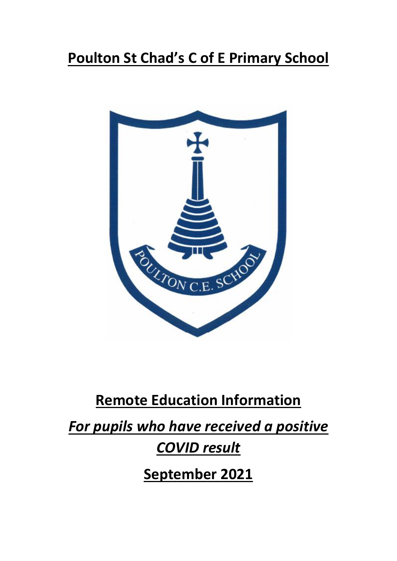# **Poulton St Chad's C of E Primary School**



## **Remote Education Information**

*For pupils who have received a positive* 

## *COVID result*

**September 2021**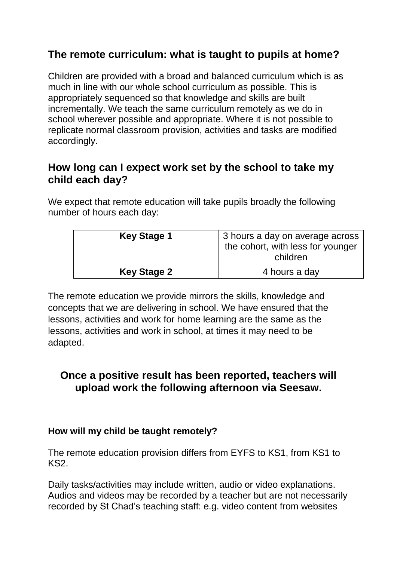## **The remote curriculum: what is taught to pupils at home?**

Children are provided with a broad and balanced curriculum which is as much in line with our whole school curriculum as possible. This is appropriately sequenced so that knowledge and skills are built incrementally. We teach the same curriculum remotely as we do in school wherever possible and appropriate. Where it is not possible to replicate normal classroom provision, activities and tasks are modified accordingly.

### **How long can I expect work set by the school to take my child each day?**

We expect that remote education will take pupils broadly the following number of hours each day:

| <b>Key Stage 1</b> | 3 hours a day on average across<br>the cohort, with less for younger<br>children |
|--------------------|----------------------------------------------------------------------------------|
| <b>Key Stage 2</b> | 4 hours a day                                                                    |

The remote education we provide mirrors the skills, knowledge and concepts that we are delivering in school. We have ensured that the lessons, activities and work for home learning are the same as the lessons, activities and work in school, at times it may need to be adapted.

### **Once a positive result has been reported, teachers will upload work the following afternoon via Seesaw.**

#### **How will my child be taught remotely?**

The remote education provision differs from EYFS to KS1, from KS1 to KS2.

Daily tasks/activities may include written, audio or video explanations. Audios and videos may be recorded by a teacher but are not necessarily recorded by St Chad's teaching staff: e.g. video content from websites